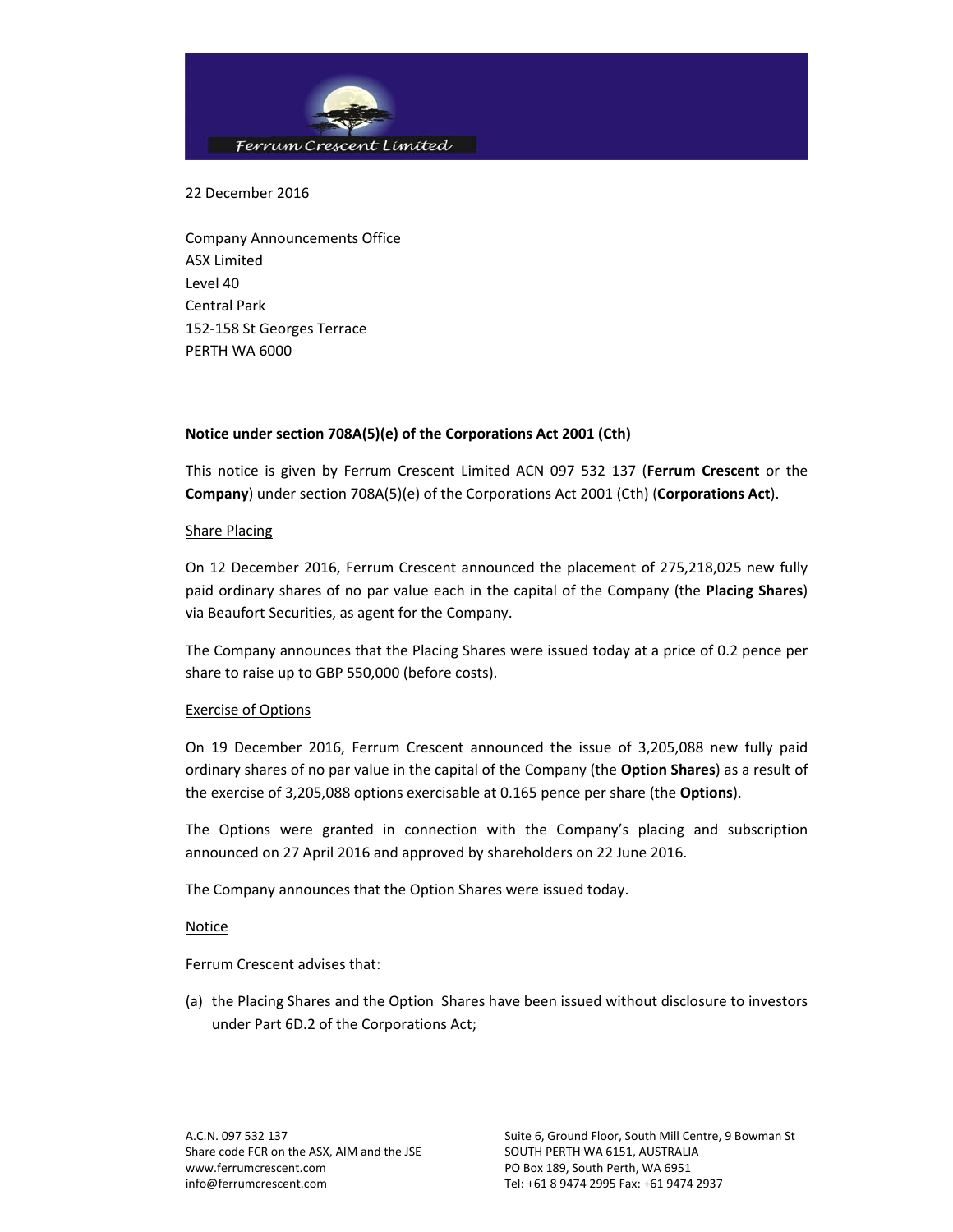

22 December 2016

Company Announcements Office ASX Limited Level 40 Central Park 152‐158 St Georges Terrace PERTH WA 6000

## **Notice under section 708A(5)(e) of the Corporations Act 2001 (Cth)**

This notice is given by Ferrum Crescent Limited ACN 097 532 137 (**Ferrum Crescent** or the **Company**) under section 708A(5)(e) of the Corporations Act 2001 (Cth) (**Corporations Act**).

## Share Placing

On 12 December 2016, Ferrum Crescent announced the placement of 275,218,025 new fully paid ordinary shares of no par value each in the capital of the Company (the **Placing Shares**) via Beaufort Securities, as agent for the Company.

The Company announces that the Placing Shares were issued today at a price of 0.2 pence per share to raise up to GBP 550,000 (before costs).

## Exercise of Options

On 19 December 2016, Ferrum Crescent announced the issue of 3,205,088 new fully paid ordinary shares of no par value in the capital of the Company (the **Option Shares**) as a result of the exercise of 3,205,088 options exercisable at 0.165 pence per share (the **Options**).

The Options were granted in connection with the Company's placing and subscription announced on 27 April 2016 and approved by shareholders on 22 June 2016.

The Company announces that the Option Shares were issued today.

Notice

Ferrum Crescent advises that:

(a) the Placing Shares and the Option Shares have been issued without disclosure to investors under Part 6D.2 of the Corporations Act;